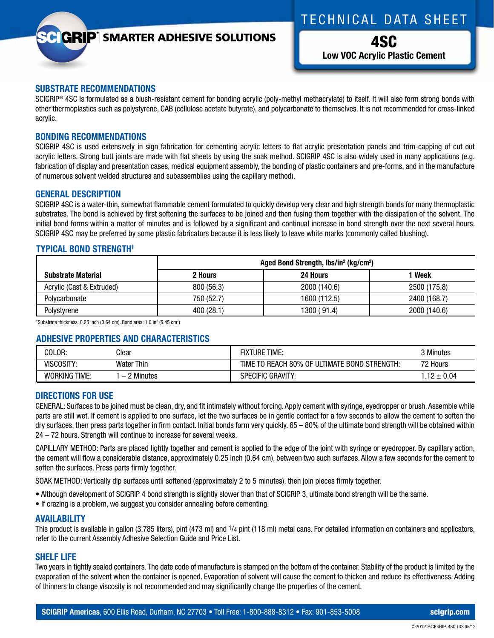# TECHNICAL DATA SHEET

# **GRIP**<sup>'</sup> SMARTER ADHESIVE SOLUTIONS

4SC **Low VOC Acrylic Plastic Cement**

#### **SUBSTRATE RECOMMENDATIONS**

SCIGRIP<sup>®</sup> 4SC is formulated as a blush-resistant cement for bonding acrylic (poly-methyl methacrylate) to itself. It will also form strong bonds with other thermoplastics such as polystyrene, CAB (cellulose acetate butyrate), and polycarbonate to themselves. It is not recommended for cross-linked acrylic.

#### **BONDING RECOMMENDATIONS**

SCIGRIP 4SC is used extensively in sign fabrication for cementing acrylic letters to flat acrylic presentation panels and trim-capping of cut out acrylic letters. Strong butt joints are made with flat sheets by using the soak method. SCIGRIP 4SC is also widely used in many applications (e.g. fabrication of display and presentation cases, medical equipment assembly, the bonding of plastic containers and pre-forms, and in the manufacture of numerous solvent welded structures and subassemblies using the capillary method).

#### **GENERAL DESCRIPTION**

SCIGRIP 4SC is a water-thin, somewhat flammable cement formulated to quickly develop very clear and high strength bonds for many thermoplastic substrates. The bond is achieved by first softening the surfaces to be joined and then fusing them together with the dissipation of the solvent. The initial bond forms within a matter of minutes and is followed by a significant and continual increase in bond strength over the next several hours. SCIGRIP 4SC may be preferred by some plastic fabricators because it is less likely to leave white marks (commonly called blushing).

### **TYPICAL BOND STRENGTH†**

|                           | Aged Bond Strength, lbs/in <sup>2</sup> (kg/cm <sup>2</sup> ) |              |              |
|---------------------------|---------------------------------------------------------------|--------------|--------------|
| <b>Substrate Material</b> | 2 Hours                                                       | 24 Hours     | Week         |
| Acrylic (Cast & Extruded) | 800 (56.3)                                                    | 2000 (140.6) | 2500 (175.8) |
| Polycarbonate             | 750 (52.7)                                                    | 1600 (112.5) | 2400 (168.7) |
| Polystyrene               | 400 (28.1)                                                    | 1300 (91.4)  | 2000 (140.6) |

 $^{\dagger}$ Substrate thickness: 0.25 inch (0.64 cm). Bond area: 1.0 in $^{\dagger}$  (6.45 cm $^{\dagger}$ )

### **ADHESIVE PROPERTIES AND CHARACTERISTICS**

| COLOR:               | Clear               | <b>FIXTURE TIME:</b>                         | 3 Minutes     |
|----------------------|---------------------|----------------------------------------------|---------------|
| VISCOSITY:           | <b>Water Thin</b>   | TIME TO REACH 80% OF ULTIMATE BOND STRENGTH: | 72 Hours      |
| <b>WORKING TIME:</b> | <b>Minutes</b><br>- | <b>SPECIFIC GRAVITY:</b>                     | $12 \pm 0.04$ |

#### **DIRECTIONS FOR USE**

GENERAL: Surfaces to be joined must be clean, dry, and fit intimately without forcing. Apply cement with syringe, eyedropper or brush. Assemble while parts are still wet. If cement is applied to one surface, let the two surfaces be in gentle contact for a few seconds to allow the cement to soften the dry surfaces, then press parts together in firm contact. Initial bonds form very quickly. 65 – 80% of the ultimate bond strength will be obtained within 24 – 72 hours. Strength will continue to increase for several weeks.

CAPILLARY METHOD: Parts are placed lightly together and cement is applied to the edge of the joint with syringe or eyedropper. By capillary action, the cement will flow a considerable distance, approximately 0.25 inch (0.64 cm), between two such surfaces. Allow a few seconds for the cement to soften the surfaces. Press parts firmly together.

SOAK METHOD: Vertically dip surfaces until softened (approximately 2 to 5 minutes), then join pieces firmly together.

- Although development of SCIGRIP 4 bond strength is slightly slower than that of SCIGRIP 3, ultimate bond strength will be the same.
- If crazing is a problem, we suggest you consider annealing before cementing.

#### **AVAILABILITY**

This product is available in gallon (3.785 liters), pint (473 ml) and 1/4 pint (118 ml) metal cans. For detailed information on containers and applicators, refer to the current Assembly Adhesive Selection Guide and Price List.

#### **SHELF LIFE**

Two years in tightly sealed containers. The date code of manufacture is stamped on the bottom of the container. Stability of the product is limited by the evaporation of the solvent when the container is opened. Evaporation of solvent will cause the cement to thicken and reduce its effectiveness. Adding of thinners to change viscosity is not recommended and may significantly change the properties of the cement.